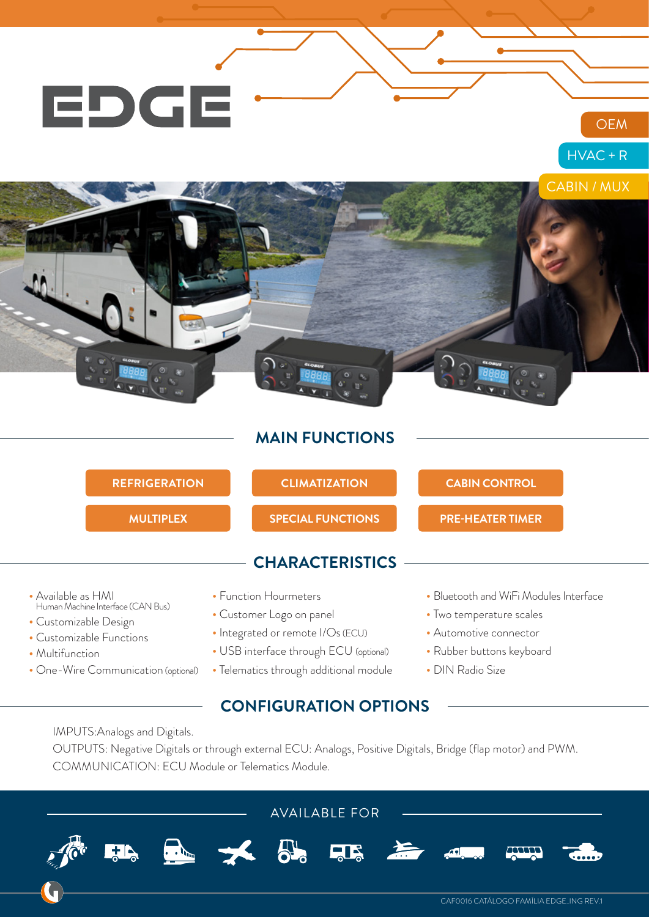

### **MAIN FUNCTIONS**

| <b>REFRIGERATION</b>                                                                                         | <b>CLIMATIZATION</b>                                                                   | <b>CABIN CONTROL</b>                                                                         |  |
|--------------------------------------------------------------------------------------------------------------|----------------------------------------------------------------------------------------|----------------------------------------------------------------------------------------------|--|
| <b>MULTIPLEX</b>                                                                                             | <b>SPECIAL FUNCTIONS</b>                                                               | <b>PRE-HEATER TIMER</b>                                                                      |  |
|                                                                                                              | <b>CHARACTERISTICS</b>                                                                 |                                                                                              |  |
| • Available as HMI<br>Human Machine Interface (CAN Bus)<br>• Customizable Design<br>• Customizable Functions | • Function Hourmeters<br>• Customer Logo on panel<br>· Integrated or remote I/Os (ECU) | • Bluetooth and WiFi Modules Interface<br>• Two temperature scales<br>• Automotive connector |  |
| • Multifunction                                                                                              | • USB interface through ECU (optional)                                                 | • Rubber buttons keyboard                                                                    |  |

• One-Wire Communication (optional) • Telematics through additional module

### **CONFIGURATION OPTIONS**

- Rubber buttons keyboard
- DIN Radio Size

IMPUTS:Analogs and Digitals.

OUTPUTS: Negative Digitals or through external ECU: Analogs, Positive Digitals, Bridge (flap motor) and PWM. COMMUNICATION: ECU Module or Telematics Module.

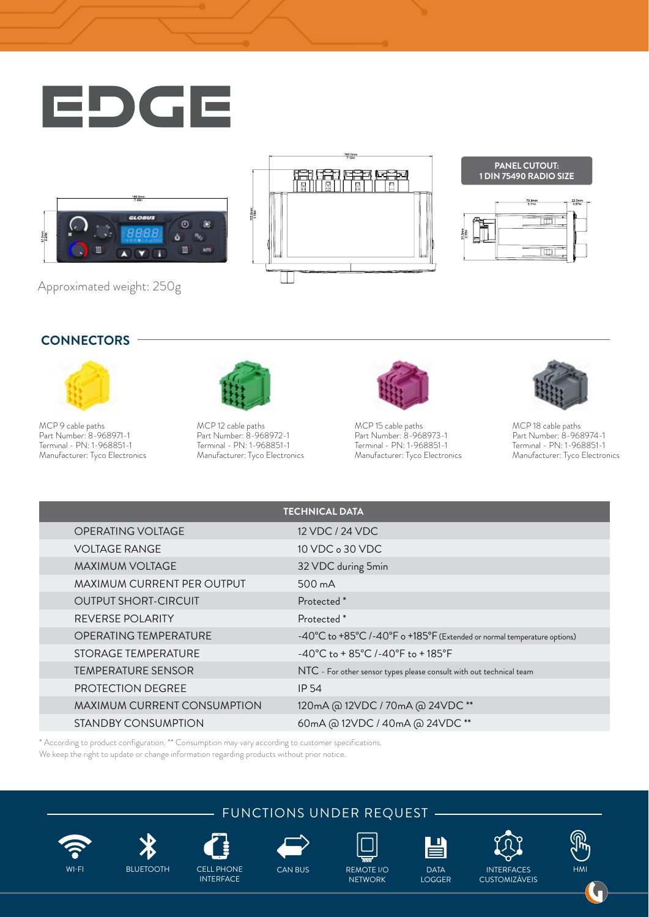









Approximated weight: 250g

#### **CONNECTORS**



MCP 9 cable paths Part Number: 8-968971-1 Terminal - PN: 1-968851-1 Manufacturer: Tyco Electronics



MCP 12 cable paths Part Number: 8-968972-1 Terminal - PN: 1-968851-1 Manufacturer: Tyco Electronics



MCP 15 cable paths Part Number: 8-968973-1 Terminal - PN: 1-968851-1 Manufacturer: Tyco Electronics



MCP 18 cable paths Part Number: 8-968974-1 Terminal - PN: 1-968851-1 Manufacturer: Tyco Electronics

| <b>TECHNICAL DATA</b>        |                                                                              |  |
|------------------------------|------------------------------------------------------------------------------|--|
| OPERATING VOLTAGE            | 12 VDC / 24 VDC                                                              |  |
| <b>VOLTAGE RANGE</b>         | 10 VDC o 30 VDC                                                              |  |
| <b>MAXIMUM VOLTAGE</b>       | 32 VDC during 5min                                                           |  |
| MAXIMUM CURRENT PER OUTPUT   | 500 mA                                                                       |  |
| <b>OUTPUT SHORT-CIRCUIT</b>  | Protected <sup>*</sup>                                                       |  |
| REVERSE POLARITY             | Protected <sup>*</sup>                                                       |  |
| <b>OPERATING TEMPERATURE</b> | -40°C to +85°C /-40°F o +185°F (Extended or normal temperature options)      |  |
| STORAGE TEMPERATURE          | $-40^{\circ}$ C to + 85 $^{\circ}$ C /-40 $^{\circ}$ F to + 185 $^{\circ}$ F |  |
| <b>TEMPERATURE SENSOR</b>    | NTC - For other sensor types please consult with out technical team          |  |
| <b>PROTECTION DEGREE</b>     | IP 54                                                                        |  |
| MAXIMUM CURRENT CONSUMPTION  | 120mA @ 12VDC / 70mA @ 24VDC**                                               |  |
| STANDBY CONSUMPTION          | 60mA @ 12VDC / 40mA @ 24VDC **                                               |  |

\* According to product configuration. \*\* Consumption may vary according to customer specifications. We keep the right to update or change information regarding products without prior notice.

INTERFACE









**NETWORK** 



LOGGER



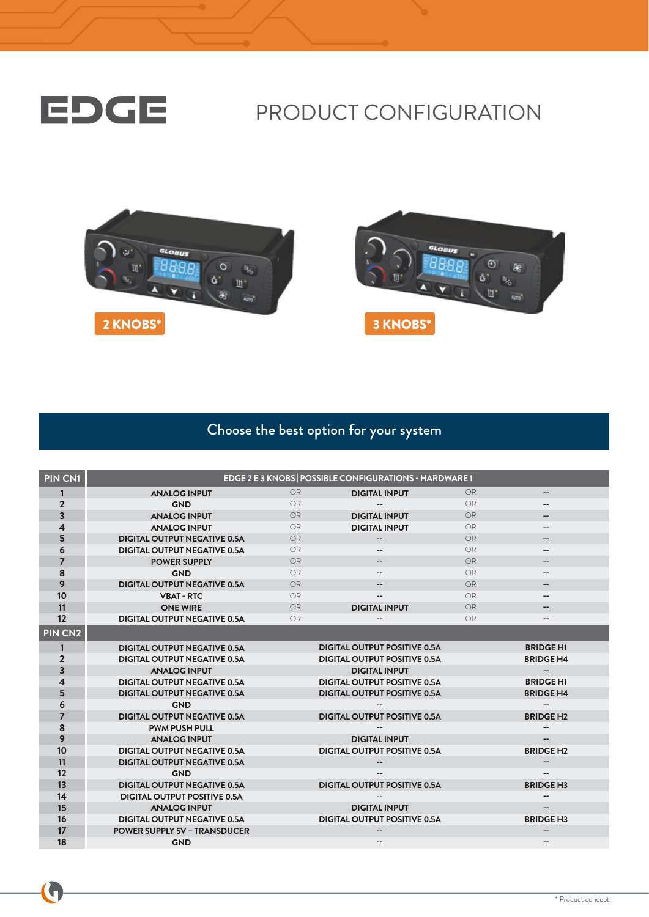

# PRODUCT CONFIGURATION





## Choose the best option for your system

| <b>PIN CN1</b>          |                                     |           | EDGE 2 E 3 KNOBS   POSSIBLE CONFIGURATIONS - HARDWARE 1 |           |                          |
|-------------------------|-------------------------------------|-----------|---------------------------------------------------------|-----------|--------------------------|
| 1                       | <b>ANALOG INPUT</b>                 | <b>OR</b> | <b>DIGITAL INPUT</b>                                    | <b>OR</b> | --                       |
| $\overline{2}$          | <b>GND</b>                          | <b>OR</b> |                                                         | <b>OR</b> | --                       |
| 3                       | <b>ANALOG INPUT</b>                 | OR        | <b>DIGITAL INPUT</b>                                    | OR        |                          |
| $\overline{\mathbf{A}}$ | <b>ANALOG INPUT</b>                 | OR.       | <b>DIGITAL INPUT</b>                                    | OR        | --                       |
| 5                       | <b>DIGITAL OUTPUT NEGATIVE 0.5A</b> | OR        | $\overline{\phantom{a}}$                                | <b>OR</b> | $- -$                    |
| 6                       | <b>DIGITAL OUTPUT NEGATIVE 0.5A</b> | <b>OR</b> | $- -$                                                   | <b>OR</b> | $-$                      |
| 7                       | <b>POWER SUPPLY</b>                 | <b>OR</b> | $\qquad \qquad -$                                       | <b>OR</b> | $-$                      |
| 8                       | <b>GND</b>                          | OR        | $- -$                                                   | OR        | $-$                      |
| 9                       | <b>DIGITAL OUTPUT NEGATIVE 0.5A</b> | <b>OR</b> |                                                         | <b>OR</b> |                          |
| 10                      | <b>VBAT - RTC</b>                   | OR        |                                                         | OR        | $-$                      |
| 11                      | <b>ONE WIRE</b>                     | <b>OR</b> | <b>DIGITAL INPUT</b>                                    | <b>OR</b> | $- -$                    |
| 12                      | <b>DIGITAL OUTPUT NEGATIVE 0.5A</b> | <b>OR</b> |                                                         | <b>OR</b> | $-$                      |
| PIN CN <sub>2</sub>     |                                     |           |                                                         |           |                          |
| 1                       | <b>DIGITAL OUTPUT NEGATIVE 0.5A</b> |           | <b>DIGITAL OUTPUT POSITIVE 0.5A</b>                     |           | <b>BRIDGE H1</b>         |
| $\overline{2}$          | <b>DIGITAL OUTPUT NEGATIVE 0.5A</b> |           | <b>DIGITAL OUTPUT POSITIVE 0.5A</b>                     |           | <b>BRIDGE H4</b>         |
| $\overline{\mathbf{3}}$ | <b>ANALOG INPUT</b>                 |           | <b>DIGITAL INPUT</b>                                    |           | $\overline{\phantom{a}}$ |
| 4                       | <b>DIGITAL OUTPUT NEGATIVE 0.5A</b> |           | <b>DIGITAL OUTPUT POSITIVE 0.5A</b>                     |           | <b>BRIDGE H1</b>         |
| 5                       | <b>DIGITAL OUTPUT NEGATIVE 0.5A</b> |           | <b>DIGITAL OUTPUT POSITIVE 0.5A</b>                     |           | <b>BRIDGE H4</b>         |
| 6                       | <b>GND</b>                          |           |                                                         |           |                          |
| $\overline{7}$          | <b>DIGITAL OUTPUT NEGATIVE 0.5A</b> |           | <b>DIGITAL OUTPUT POSITIVE 0.5A</b>                     |           | <b>BRIDGE H2</b>         |
| 8                       | <b>PWM PUSH PULL</b>                |           |                                                         |           |                          |
| 9                       | <b>ANALOG INPUT</b>                 |           | <b>DIGITAL INPUT</b>                                    |           | $\overline{\phantom{a}}$ |
| 10                      | <b>DIGITAL OUTPUT NEGATIVE 0.5A</b> |           | <b>DIGITAL OUTPUT POSITIVE 0.5A</b>                     |           | <b>BRIDGE H2</b>         |
| 11                      | <b>DIGITAL OUTPUT NEGATIVE 0.5A</b> |           |                                                         |           | $-$                      |
| 12                      | <b>GND</b>                          |           |                                                         |           | $- -$                    |
| 13                      | <b>DIGITAL OUTPUT NEGATIVE 0.5A</b> |           | <b>DIGITAL OUTPUT POSITIVE 0.5A</b>                     |           | <b>BRIDGE H3</b>         |
| 14                      | <b>DIGITAL OUTPUT POSITIVE 0.5A</b> |           |                                                         |           |                          |
| 15                      | <b>ANALOG INPUT</b>                 |           | <b>DIGITAL INPUT</b>                                    |           | $\overline{\phantom{a}}$ |
| 16                      | <b>DIGITAL OUTPUT NEGATIVE 0.5A</b> |           | <b>DIGITAL OUTPUT POSITIVE 0.5A</b>                     |           | <b>BRIDGE H3</b>         |
| 17                      | <b>POWER SUPPLY 5V - TRANSDUCER</b> |           |                                                         |           | $- -$                    |
| 18                      | <b>GND</b>                          |           |                                                         |           |                          |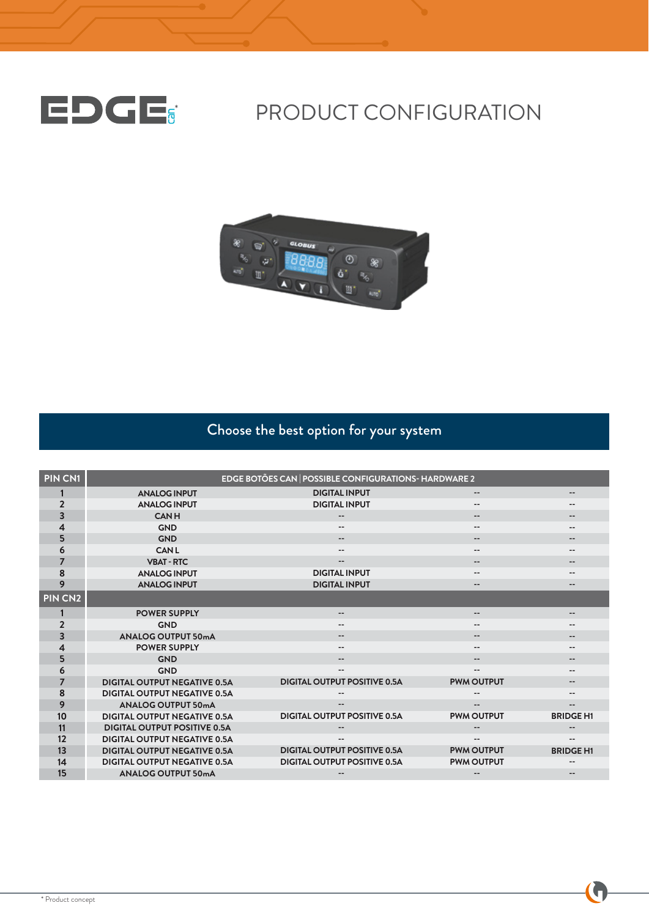

# EDCE: PRODUCT CONFIGURATION



# Choose the best option for your system

| PIN CN1             |                                     | EDGE BOTÕES CAN   POSSIBLE CONFIGURATIONS-HARDWARE 2 |                          |                              |
|---------------------|-------------------------------------|------------------------------------------------------|--------------------------|------------------------------|
|                     | <b>ANALOG INPUT</b>                 | <b>DIGITAL INPUT</b>                                 | --                       |                              |
| $\overline{2}$      | <b>ANALOG INPUT</b>                 | <b>DIGITAL INPUT</b>                                 |                          |                              |
| $\overline{3}$      | <b>CANH</b>                         | $- -$                                                | $- -$                    |                              |
| 4                   | <b>GND</b>                          | --                                                   | $- -$                    |                              |
| 5                   | <b>GND</b>                          |                                                      | $- -$                    |                              |
| 6                   | <b>CANL</b>                         |                                                      |                          |                              |
| $\overline{7}$      | <b>VBAT-RTC</b>                     | $-$                                                  | $- -$                    | --                           |
| 8                   | <b>ANALOG INPUT</b>                 | <b>DIGITAL INPUT</b>                                 | $- -$                    |                              |
| 9                   | <b>ANALOG INPUT</b>                 | <b>DIGITAL INPUT</b>                                 | $- -$                    | --                           |
| PIN CN <sub>2</sub> |                                     |                                                      |                          |                              |
|                     | <b>POWER SUPPLY</b>                 | --                                                   | $-$                      |                              |
| $\overline{2}$      | <b>GND</b>                          |                                                      | $- -$                    |                              |
| 3                   | <b>ANALOG OUTPUT 50mA</b>           | $\qquad \qquad -$                                    | $\overline{\phantom{a}}$ | $\qquad \qquad \blacksquare$ |
| 4                   | <b>POWER SUPPLY</b>                 | $- -$                                                | $\qquad \qquad -$        | --                           |
| 5                   | <b>GND</b>                          |                                                      | --                       |                              |
| 6                   | <b>GND</b>                          | --                                                   | $- -$                    |                              |
| $\overline{7}$      | <b>DIGITAL OUTPUT NEGATIVE 0.5A</b> | <b>DIGITAL OUTPUT POSITIVE 0.5A</b>                  | <b>PWM OUTPUT</b>        | $\qquad \qquad \blacksquare$ |
| 8                   | <b>DIGITAL OUTPUT NEGATIVE 0.5A</b> |                                                      | --                       |                              |
| 9                   | <b>ANALOG OUTPUT 50mA</b>           |                                                      |                          |                              |
| 10                  | <b>DIGITAL OUTPUT NEGATIVE 0.5A</b> | <b>DIGITAL OUTPUT POSITIVE 0.5A</b>                  | <b>PWM OUTPUT</b>        | <b>BRIDGE H1</b>             |
| 11                  | <b>DIGITAL OUTPUT POSITIVE 0.5A</b> |                                                      | $- -$                    |                              |
| 12                  | <b>DIGITAL OUTPUT NEGATIVE 0.5A</b> |                                                      | $\qquad \qquad -$        |                              |
| 13                  | <b>DIGITAL OUTPUT NEGATIVE 0.5A</b> | <b>DIGITAL OUTPUT POSITIVE 0.5A</b>                  | <b>PWM OUTPUT</b>        | <b>BRIDGE H1</b>             |
| 14                  | <b>DIGITAL OUTPUT NEGATIVE 0.5A</b> | <b>DIGITAL OUTPUT POSITIVE 0.5A</b>                  | <b>PWM OUTPUT</b>        |                              |
| 15                  | <b>ANALOG OUTPUT 50mA</b>           |                                                      | $-$                      |                              |